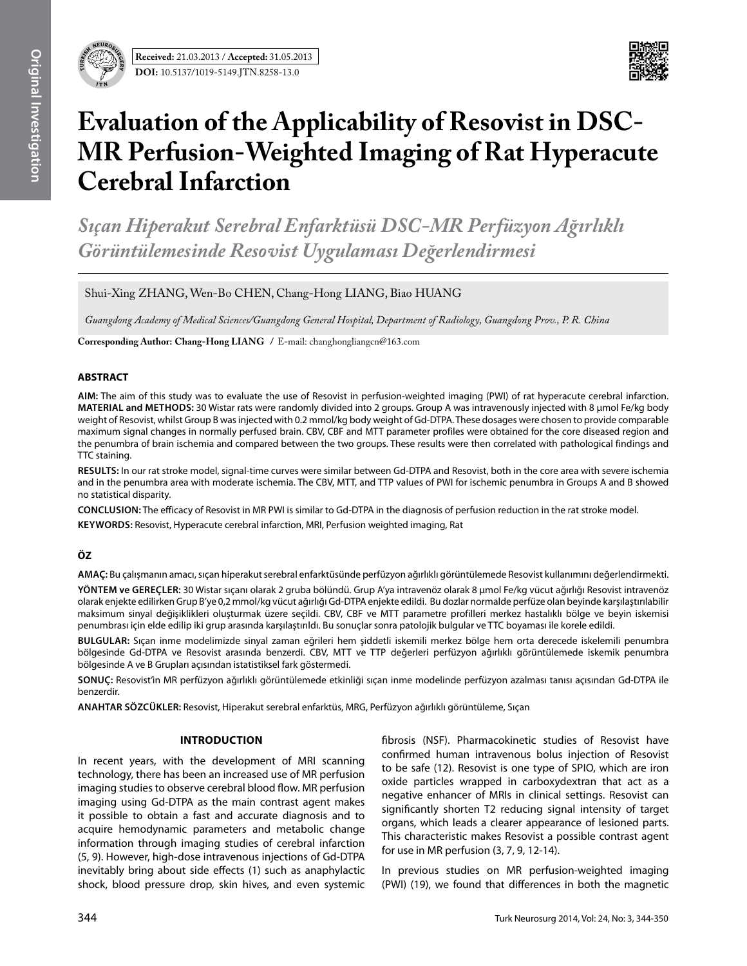



# **Evaluation of the Applicability of Resovist in DSC-MR Perfusion-Weighted Imaging of Rat Hyperacute Cerebral Infarction**

*Sıçan Hiperakut Serebral Enfarktüsü DSC-MR Perfüzyon Ağırlıklı Görüntülemesinde Resovist Uygulaması Değerlendirmesi* 

Shui-Xing ZHANG, Wen-Bo CHEN, Chang-Hong LIANG, Biao HUANG

*Guangdong Academy of Medical Sciences/Guangdong General Hospital, Department of Radiology, Guangdong Prov., P. R. China*

**Corresponding Author: Chang-Hong LIang /** E-mail: changhongliangcn@163.com

## **ABSTRACT**

**AIm:** The aim of this study was to evaluate the use of Resovist in perfusion-weighted imaging (PWI) of rat hyperacute cerebral infarction. **MaterIal and Methods:** 30 Wistar rats were randomly divided into 2 groups. Group A was intravenously injected with 8 μmol Fe/kg body weight of Resovist, whilst Group B was injected with 0.2 mmol/kg body weight of Gd-DTPA. These dosages were chosen to provide comparable maximum signal changes in normally perfused brain. CBV, CBF and MTT parameter profiles were obtained for the core diseased region and the penumbra of brain ischemia and compared between the two groups. These results were then correlated with pathological findings and TTC staining.

**Results:** In our rat stroke model, signal-time curves were similar between Gd-DTPA and Resovist, both in the core area with severe ischemia and in the penumbra area with moderate ischemia. The CBV, MTT, and TTP values of PWI for ischemic penumbra in Groups A and B showed no statistical disparity.

**ConclusIon:** The efficacy of Resovist in MR PWI is similar to Gd-DTPA in the diagnosis of perfusion reduction in the rat stroke model.

**Keywords:** Resovist, Hyperacute cerebral infarction, MRI, Perfusion weighted imaging, Rat

# **ÖZ**

**AMAÇ:** Bu çalışmanın amacı, sıçan hiperakut serebral enfarktüsünde perfüzyon ağırlıklı görüntülemede Resovist kullanımını değerlendirmekti.

**YÖNTEM ve GEREÇLER:** 30 Wistar sıçanı olarak 2 gruba bölündü. Grup A'ya intravenöz olarak 8 μmol Fe/kg vücut ağırlığı Resovist intravenöz olarak enjekte edilirken Grup B'ye 0,2 mmol/kg vücut ağırlığı Gd-DTPA enjekte edildi. Bu dozlar normalde perfüze olan beyinde karşılaştırılabilir maksimum sinyal değişiklikleri oluşturmak üzere seçildi. CBV, CBF ve MTT parametre profilleri merkez hastalıklı bölge ve beyin iskemisi penumbrası için elde edilip iki grup arasında karşılaştırıldı. Bu sonuçlar sonra patolojik bulgular ve TTC boyaması ile korele edildi.

**BULGULAR:** Sıçan inme modelimizde sinyal zaman eğrileri hem şiddetli iskemili merkez bölge hem orta derecede iskelemili penumbra bölgesinde Gd-DTPA ve Resovist arasında benzerdi. CBV, MTT ve TTP değerleri perfüzyon ağırlıklı görüntülemede iskemik penumbra bölgesinde A ve B Grupları açısından istatistiksel fark göstermedi.

**SONUÇ:** Resovist'in MR perfüzyon ağırlıklı görüntülemede etkinliği sıçan inme modelinde perfüzyon azalması tanısı açısından Gd-DTPA ile benzerdir.

**ANAHTAR SÖZCÜKLER:** Resovist, Hiperakut serebral enfarktüs, MRG, Perfüzyon ağırlıklı görüntüleme, Sıçan

## **Introduction**

In recent years, with the development of MRI scanning technology, there has been an increased use of MR perfusion imaging studies to observe cerebral blood flow. MR perfusion imaging using Gd-DTPA as the main contrast agent makes it possible to obtain a fast and accurate diagnosis and to acquire hemodynamic parameters and metabolic change information through imaging studies of cerebral infarction (5, 9). However, high-dose intravenous injections of Gd-DTPA inevitably bring about side effects (1) such as anaphylactic shock, blood pressure drop, skin hives, and even systemic fibrosis (NSF). Pharmacokinetic studies of Resovist have confirmed human intravenous bolus injection of Resovist to be safe (12). Resovist is one type of SPIO, which are iron oxide particles wrapped in carboxydextran that act as a negative enhancer of MRIs in clinical settings. Resovist can significantly shorten T2 reducing signal intensity of target organs, which leads a clearer appearance of lesioned parts. This characteristic makes Resovist a possible contrast agent for use in MR perfusion (3, 7, 9, 12-14).

In previous studies on MR perfusion-weighted imaging (PWI) (19), we found that differences in both the magnetic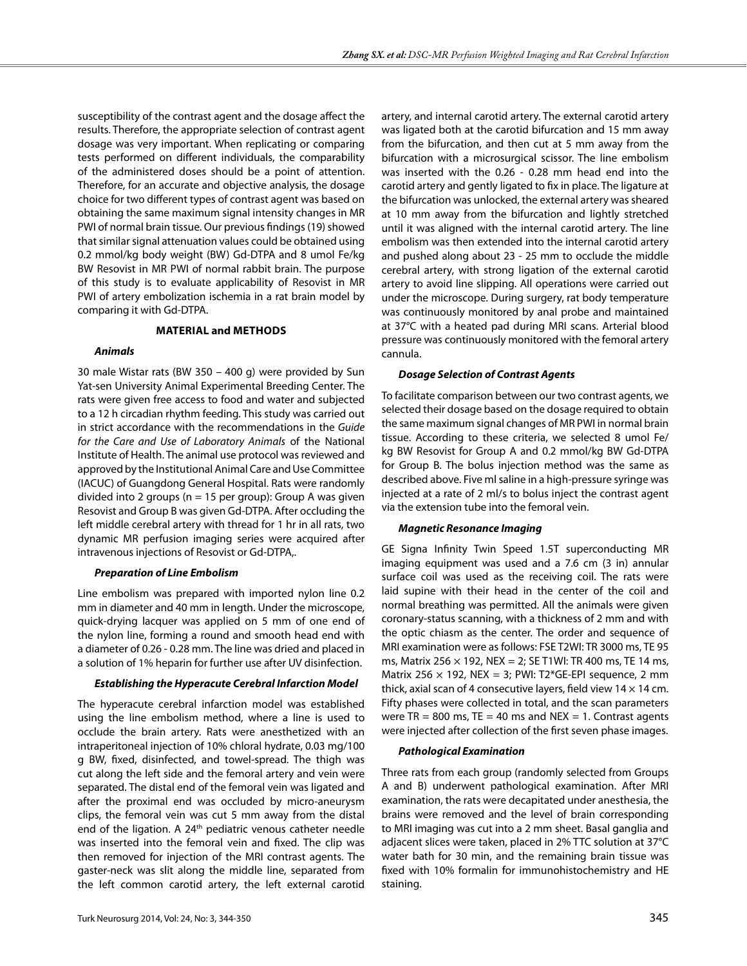susceptibility of the contrast agent and the dosage affect the results. Therefore, the appropriate selection of contrast agent dosage was very important. When replicating or comparing tests performed on different individuals, the comparability of the administered doses should be a point of attention. Therefore, for an accurate and objective analysis, the dosage choice for two different types of contrast agent was based on obtaining the same maximum signal intensity changes in MR PWI of normal brain tissue. Our previous findings (19) showed that similar signal attenuation values could be obtained using 0.2 mmol/kg body weight (BW) Gd-DTPA and 8 umol Fe/kg BW Resovist in MR PWI of normal rabbit brain. The purpose of this study is to evaluate applicability of Resovist in MR PWI of artery embolization ischemia in a rat brain model by comparing it with Gd-DTPA.

## **Material and methods**

## *Animals*

30 male Wistar rats (BW 350 – 400 g) were provided by Sun Yat-sen University Animal Experimental Breeding Center. The rats were given free access to food and water and subjected to a 12 h circadian rhythm feeding. This study was carried out in strict accordance with the recommendations in the *Guide for the Care and Use of Laboratory Animals* of the National Institute of Health. The animal use protocol was reviewed and approved by the Institutional Animal Care and Use Committee (IACUC) of Guangdong General Hospital. Rats were randomly divided into 2 groups ( $n = 15$  per group): Group A was given Resovist and Group B was given Gd-DTPA. After occluding the left middle cerebral artery with thread for 1 hr in all rats, two dynamic MR perfusion imaging series were acquired after intravenous injections of Resovist or Gd-DTPA,.

# *Preparation of Line Embolism*

Line embolism was prepared with imported nylon line 0.2 mm in diameter and 40 mm in length. Under the microscope, quick-drying lacquer was applied on 5 mm of one end of the nylon line, forming a round and smooth head end with a diameter of 0.26 - 0.28 mm. The line was dried and placed in a solution of 1% heparin for further use after UV disinfection.

## *Establishing the Hyperacute Cerebral Infarction Model*

The hyperacute cerebral infarction model was established using the line embolism method, where a line is used to occlude the brain artery. Rats were anesthetized with an intraperitoneal injection of 10% chloral hydrate, 0.03 mg/100 g BW, fixed, disinfected, and towel-spread. The thigh was cut along the left side and the femoral artery and vein were separated. The distal end of the femoral vein was ligated and after the proximal end was occluded by micro-aneurysm clips, the femoral vein was cut 5 mm away from the distal end of the ligation. A  $24<sup>th</sup>$  pediatric venous catheter needle was inserted into the femoral vein and fixed. The clip was then removed for injection of the MRI contrast agents. The gaster-neck was slit along the middle line, separated from the left common carotid artery, the left external carotid

artery, and internal carotid artery. The external carotid artery was ligated both at the carotid bifurcation and 15 mm away from the bifurcation, and then cut at 5 mm away from the bifurcation with a microsurgical scissor. The line embolism was inserted with the 0.26 - 0.28 mm head end into the carotid artery and gently ligated to fix in place. The ligature at the bifurcation was unlocked, the external artery was sheared at 10 mm away from the bifurcation and lightly stretched until it was aligned with the internal carotid artery. The line embolism was then extended into the internal carotid artery and pushed along about 23 - 25 mm to occlude the middle cerebral artery, with strong ligation of the external carotid artery to avoid line slipping. All operations were carried out under the microscope. During surgery, rat body temperature was continuously monitored by anal probe and maintained at 37°C with a heated pad during MRI scans. Arterial blood pressure was continuously monitored with the femoral artery cannula.

## *Dosage Selection of Contrast Agents*

To facilitate comparison between our two contrast agents, we selected their dosage based on the dosage required to obtain the same maximum signal changes of MR PWI in normal brain tissue. According to these criteria, we selected 8 umol Fe/ kg BW Resovist for Group A and 0.2 mmol/kg BW Gd-DTPA for Group B. The bolus injection method was the same as described above. Five ml saline in a high-pressure syringe was injected at a rate of 2 ml/s to bolus inject the contrast agent via the extension tube into the femoral vein.

# *Magnetic Resonance Imaging*

GE Signa Infinity Twin Speed 1.5T superconducting MR imaging equipment was used and a 7.6 cm (3 in) annular surface coil was used as the receiving coil. The rats were laid supine with their head in the center of the coil and normal breathing was permitted. All the animals were given coronary-status scanning, with a thickness of 2 mm and with the optic chiasm as the center. The order and sequence of MRI examination were as follows: FSE T2WI: TR 3000 ms, TE 95 ms, Matrix 256  $\times$  192, NEX = 2; SE T1WI: TR 400 ms, TE 14 ms, Matrix 256  $\times$  192, NEX = 3; PWI: T2\*GE-EPI sequence, 2 mm thick, axial scan of 4 consecutive layers, field view  $14 \times 14$  cm. Fifty phases were collected in total, and the scan parameters were  $TR = 800$  ms,  $TE = 40$  ms and  $NEX = 1$ . Contrast agents were injected after collection of the first seven phase images.

# *Pathological Examination*

Three rats from each group (randomly selected from Groups A and B) underwent pathological examination. After MRI examination, the rats were decapitated under anesthesia, the brains were removed and the level of brain corresponding to MRI imaging was cut into a 2 mm sheet. Basal ganglia and adjacent slices were taken, placed in 2% TTC solution at 37°C water bath for 30 min, and the remaining brain tissue was fixed with 10% formalin for immunohistochemistry and HE staining.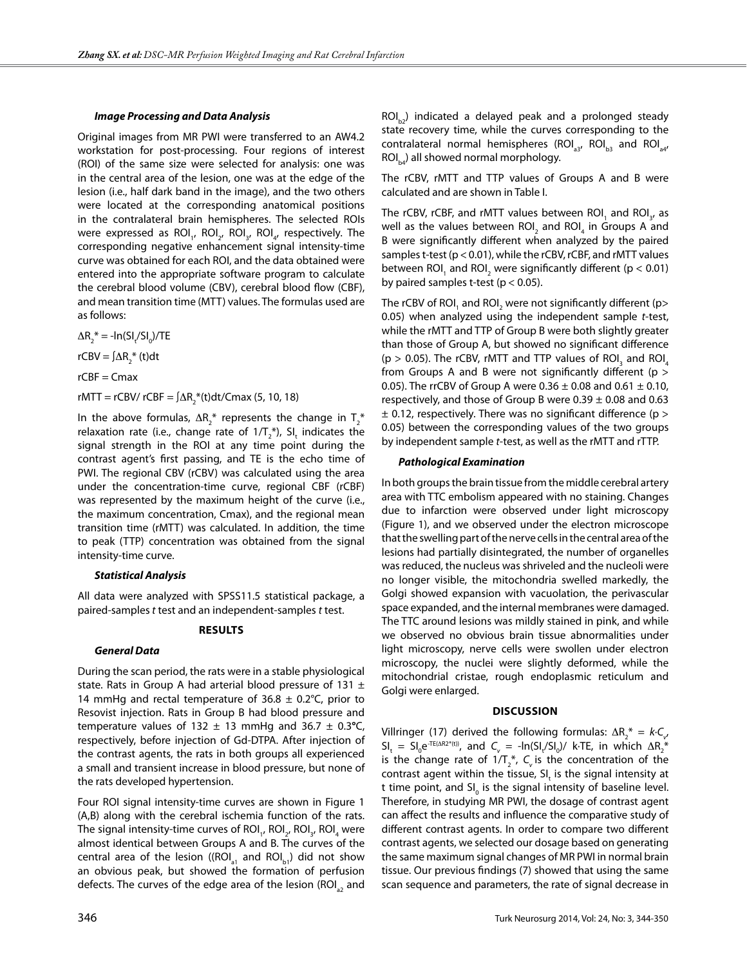#### *Image Processing and Data Analysis*

Original images from MR PWI were transferred to an AW4.2 workstation for post-processing. Four regions of interest (ROI) of the same size were selected for analysis: one was in the central area of the lesion, one was at the edge of the lesion (i.e., half dark band in the image), and the two others were located at the corresponding anatomical positions in the contralateral brain hemispheres. The selected ROIs were expressed as ROI<sub>1</sub>, ROI<sub>2</sub>, ROI<sub>3</sub>, ROI<sub>4</sub>, respectively. The corresponding negative enhancement signal intensity-time curve was obtained for each ROI, and the data obtained were entered into the appropriate software program to calculate the cerebral blood volume (CBV), cerebral blood flow (CBF), and mean transition time (MTT) values. The formulas used are as follows:

 $\Delta R_2^*$  = - $\ln(SI_t/SI_0)/TE$ 

rCBV =  $\int \Delta R_2^*$  (t)dt

 $rCBF = Cmax$ 

rMTT = rCBV/ rCBF =  $\int \Delta R_{2}^{*}(t)dt/C$ max (5, 10, 18)

In the above formulas,  $\Delta R_{2}^{*}$  represents the change in  $T_{2}^{*}$ relaxation rate (i.e., change rate of 1/T $_2^*$ ), SI<sub>t</sub> indicates the signal strength in the ROI at any time point during the contrast agent's first passing, and TE is the echo time of PWI. The regional CBV (rCBV) was calculated using the area under the concentration-time curve, regional CBF (rCBF) was represented by the maximum height of the curve (i.e., the maximum concentration, Cmax), and the regional mean transition time (rMTT) was calculated. In addition, the time to peak (TTP) concentration was obtained from the signal intensity-time curve.

## *Statistical Analysis*

All data were analyzed with SPSS11.5 statistical package, a paired-samples *t* test and an independent-samples *t* test.

## **Results**

## *General Data*

During the scan period, the rats were in a stable physiological state. Rats in Group A had arterial blood pressure of 131  $\pm$ 14 mmHg and rectal temperature of 36.8  $\pm$  0.2°C, prior to Resovist injection. Rats in Group B had blood pressure and temperature values of 132  $\pm$  13 mmHg and 36.7  $\pm$  0.3°C, respectively, before injection of Gd-DTPA. After injection of the contrast agents, the rats in both groups all experienced a small and transient increase in blood pressure, but none of the rats developed hypertension.

Four ROI signal intensity-time curves are shown in Figure 1 (A,B) along with the cerebral ischemia function of the rats. The signal intensity-time curves of ROI<sub>1</sub>, ROI<sub>2</sub>, ROI<sub>3</sub>, ROI<sub>4</sub> were almost identical between Groups A and B. The curves of the central area of the lesion ((ROI<sub>31</sub> and ROI<sub>b1</sub>) did not show an obvious peak, but showed the formation of perfusion defects. The curves of the edge area of the lesion (ROI<sub>a2</sub> and

 $ROI_{b2}$ ) indicated a delayed peak and a prolonged steady state recovery time, while the curves corresponding to the contralateral normal hemispheres (ROI<sub>33</sub>, ROI<sub>b3</sub> and ROI<sub>34</sub>,  $ROI<sub>b4</sub>$ ) all showed normal morphology.

The rCBV, rMTT and TTP values of Groups A and B were calculated and are shown in Table I.

The rCBV, rCBF, and rMTT values between ROI<sub>1</sub> and ROI<sub>3</sub>, as well as the values between ROI<sub>2</sub> and ROI<sub>4</sub> in Groups A and B were significantly different when analyzed by the paired samples t-test (p< 0.01), while the rCBV, rCBF, and rMTT values between ROI<sub>1</sub> and ROI<sub>2</sub> were significantly different (p < 0.01) by paired samples t-test ( $p < 0.05$ ).

The rCBV of ROI $_{_{1}}$  and ROI $_{_{2}}$  were not significantly different (p> 0.05) when analyzed using the independent sample *t*-test, while the rMTT and TTP of Group B were both slightly greater than those of Group A, but showed no significant difference ( $p > 0.05$ ). The rCBV, rMTT and TTP values of ROI<sub>3</sub> and ROI<sub>4</sub> from Groups A and B were not significantly different (p > 0.05). The rrCBV of Group A were  $0.36 \pm 0.08$  and  $0.61 \pm 0.10$ , respectively, and those of Group B were  $0.39 \pm 0.08$  and 0.63  $\pm$  0.12, respectively. There was no significant difference (p > 0.05) between the corresponding values of the two groups by independent sample *t*-test, as well as the rMTT and rTTP.

#### *Pathological Examination*

In both groups the brain tissue from the middle cerebral artery area with TTC embolism appeared with no staining. Changes due to infarction were observed under light microscopy (Figure 1), and we observed under the electron microscope that the swelling part of the nerve cells in the central area of the lesions had partially disintegrated, the number of organelles was reduced, the nucleus was shriveled and the nucleoli were no longer visible, the mitochondria swelled markedly, the Golgi showed expansion with vacuolation, the perivascular space expanded, and the internal membranes were damaged. The TTC around lesions was mildly stained in pink, and while we observed no obvious brain tissue abnormalities under light microscopy, nerve cells were swollen under electron microscopy, the nuclei were slightly deformed, while the mitochondrial cristae, rough endoplasmic reticulum and Golgi were enlarged.

#### **Discussion**

Villringer (17) derived the following formulas:  $\Delta R_{2}^{*} = k \cdot C_{v}$  $SI_t = SI_0 e^{TE(AR2^*(t))}$ , and  $C_v = -In(SI_t/SI_0)/$  k·TE, in which  $\Delta R_2^*$ is the change rate of  $1/T_2^*$ ,  $C_{\nu}$  is the concentration of the contrast agent within the tissue,  $SI_{t}$  is the signal intensity at t time point, and  $SI_0$  is the signal intensity of baseline level. Therefore, in studying MR PWI, the dosage of contrast agent can affect the results and influence the comparative study of different contrast agents. In order to compare two different contrast agents, we selected our dosage based on generating the same maximum signal changes of MR PWI in normal brain tissue. Our previous findings (7) showed that using the same scan sequence and parameters, the rate of signal decrease in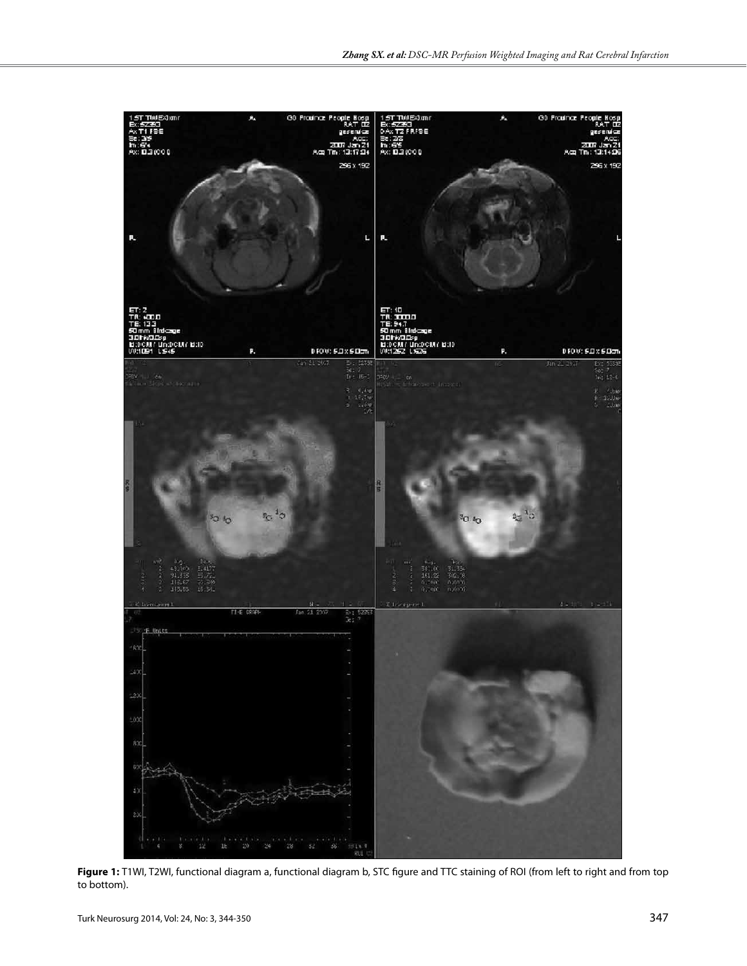

Figure 1: T1WI, T2WI, functional diagram a, functional diagram b, STC figure and TTC staining of ROI (from left to right and from top to bottom).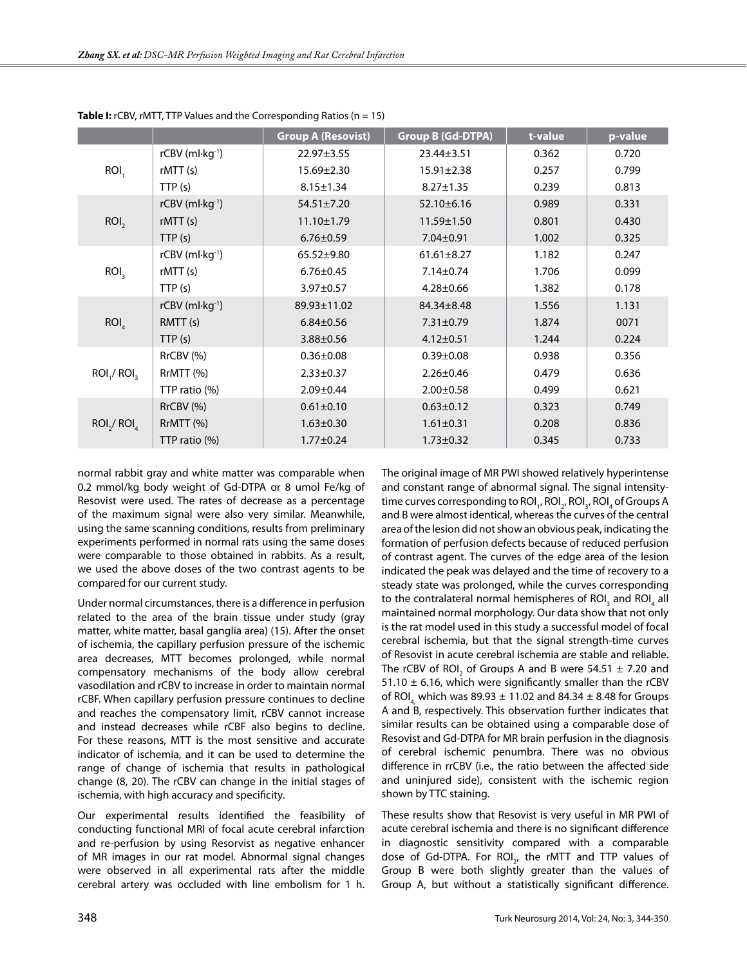|                                     |                        | <b>Group A (Resovist)</b> | <b>Group B (Gd-DTPA)</b> | t-value | p-value |
|-------------------------------------|------------------------|---------------------------|--------------------------|---------|---------|
| ROI,                                | rCBV (ml·kg-1)         | 22.97±3.55                | 23.44±3.51               | 0.362   | 0.720   |
|                                     | rMTT(s)                | 15.69±2.30                | $15.91 \pm 2.38$         | 0.257   | 0.799   |
|                                     | TTP(s)                 | $8.15 \pm 1.34$           | $8.27 \pm 1.35$          | 0.239   | 0.813   |
| ROI <sub>2</sub>                    | $rCBV$ (ml $kg^{-1}$ ) | $54.51 \pm 7.20$          | $52.10 \pm 6.16$         | 0.989   | 0.331   |
|                                     | rMTT(s)                | $11.10 \pm 1.79$          | $11.59 \pm 1.50$         | 0.801   | 0.430   |
|                                     | TTP(s)                 | $6.76 \pm 0.59$           | 7.04±0.91                | 1.002   | 0.325   |
| ROI <sub>3</sub>                    | rCBV (ml·kg-1)         | $65.52 \pm 9.80$          | $61.61 \pm 8.27$         | 1.182   | 0.247   |
|                                     | rMTT(s)                | $6.76 \pm 0.45$           | $7.14 \pm 0.74$          | 1.706   | 0.099   |
|                                     | TTP(s)                 | $3.97 \pm 0.57$           | $4.28 \pm 0.66$          | 1.382   | 0.178   |
| ROI <sub>a</sub>                    | rCBV (ml·kg-1)         | 89.93±11.02               | 84.34±8.48               | 1.556   | 1.131   |
|                                     | RMTT(s)                | $6.84 \pm 0.56$           | $7.31 \pm 0.79$          | 1.874   | 0071    |
|                                     | TTP(s)                 | $3.88 \pm 0.56$           | $4.12 \pm 0.51$          | 1.244   | 0.224   |
| ROI <sub>1</sub> / ROI <sub>3</sub> | RrCBV (%)              | $0.36 \pm 0.08$           | $0.39 \pm 0.08$          | 0.938   | 0.356   |
|                                     | RrMTT (%)              | $2.33 \pm 0.37$           | $2.26 \pm 0.46$          | 0.479   | 0.636   |
|                                     | TTP ratio (%)          | $2.09 \pm 0.44$           | $2.00 \pm 0.58$          | 0.499   | 0.621   |
| ROI <sub>2</sub> / ROI <sub>4</sub> | RrCBV (%)              | $0.61 \pm 0.10$           | $0.63 \pm 0.12$          | 0.323   | 0.749   |
|                                     | RrMTT (%)              | $1.63 \pm 0.30$           | $1.61 \pm 0.31$          | 0.208   | 0.836   |
|                                     | TTP ratio (%)          | $1.77 \pm 0.24$           | $1.73 \pm 0.32$          | 0.345   | 0.733   |

**Table I:** rCBV, rMTT, TTP Values and the Corresponding Ratios (n = 15)

normal rabbit gray and white matter was comparable when 0.2 mmol/kg body weight of Gd-DTPA or 8 umol Fe/kg of Resovist were used. The rates of decrease as a percentage of the maximum signal were also very similar. Meanwhile, using the same scanning conditions, results from preliminary experiments performed in normal rats using the same doses were comparable to those obtained in rabbits. As a result, we used the above doses of the two contrast agents to be compared for our current study.

Under normal circumstances, there is a difference in perfusion related to the area of the brain tissue under study (gray matter, white matter, basal ganglia area) (15). After the onset of ischemia, the capillary perfusion pressure of the ischemic area decreases, MTT becomes prolonged, while normal compensatory mechanisms of the body allow cerebral vasodilation and rCBV to increase in order to maintain normal rCBF. When capillary perfusion pressure continues to decline and reaches the compensatory limit, rCBV cannot increase and instead decreases while rCBF also begins to decline. For these reasons, MTT is the most sensitive and accurate indicator of ischemia, and it can be used to determine the range of change of ischemia that results in pathological change (8, 20). The rCBV can change in the initial stages of ischemia, with high accuracy and specificity.

Our experimental results identified the feasibility of conducting functional MRI of focal acute cerebral infarction and re-perfusion by using Resorvist as negative enhancer of MR images in our rat model. Abnormal signal changes were observed in all experimental rats after the middle cerebral artery was occluded with line embolism for 1 h. The original image of MR PWI showed relatively hyperintense and constant range of abnormal signal. The signal intensitytime curves corresponding to ROI<sub>1</sub>, ROI<sub>2</sub>, ROI<sub>3</sub>, ROI<sub>4</sub> of Groups A and B were almost identical, whereas the curves of the central area of the lesion did not show an obvious peak, indicating the formation of perfusion defects because of reduced perfusion of contrast agent. The curves of the edge area of the lesion indicated the peak was delayed and the time of recovery to a steady state was prolonged, while the curves corresponding to the contralateral normal hemispheres of ROI<sub>3</sub> and ROI<sub>4</sub> all maintained normal morphology. Our data show that not only is the rat model used in this study a successful model of focal cerebral ischemia, but that the signal strength-time curves of Resovist in acute cerebral ischemia are stable and reliable. The rCBV of ROI<sub>2</sub> of Groups A and B were 54.51  $\pm$  7.20 and 51.10  $\pm$  6.16, which were significantly smaller than the rCBV of ROI, which was  $89.93 \pm 11.02$  and  $84.34 \pm 8.48$  for Groups A and B, respectively. This observation further indicates that similar results can be obtained using a comparable dose of Resovist and Gd-DTPA for MR brain perfusion in the diagnosis of cerebral ischemic penumbra. There was no obvious difference in rrCBV (i.e., the ratio between the affected side and uninjured side), consistent with the ischemic region shown by TTC staining.

These results show that Resovist is very useful in MR PWI of acute cerebral ischemia and there is no significant difference in diagnostic sensitivity compared with a comparable dose of Gd-DTPA. For ROI<sub>2</sub>, the rMTT and TTP values of Group B were both slightly greater than the values of Group A, but without a statistically significant difference.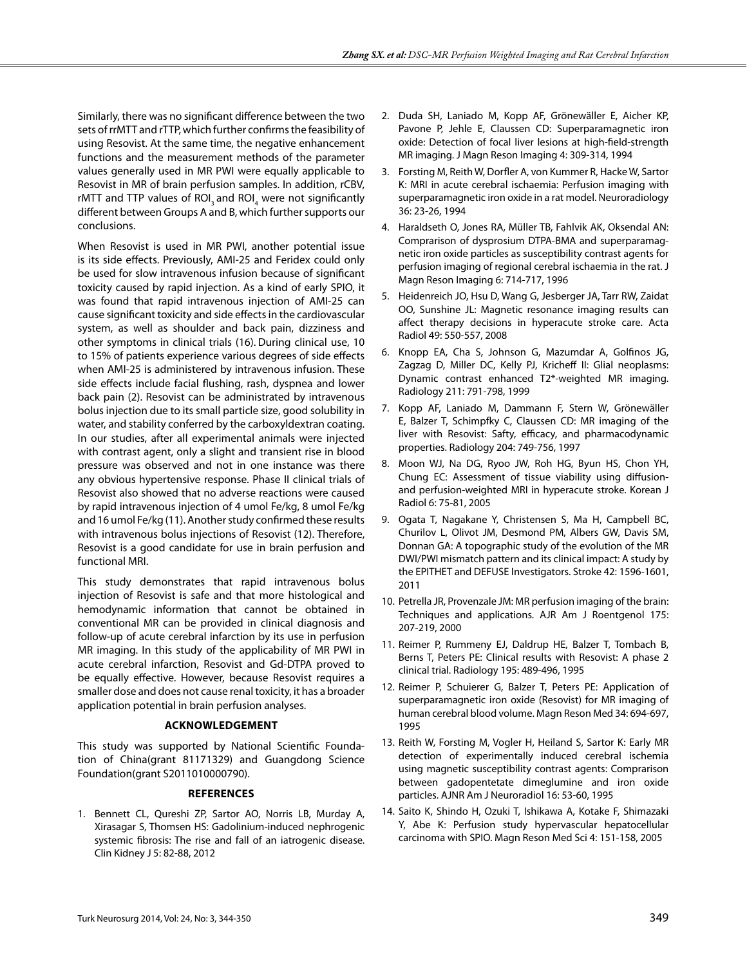Similarly, there was no significant difference between the two sets of rrMTT and rTTP, which further confirms the feasibility of using Resovist. At the same time, the negative enhancement functions and the measurement methods of the parameter values generally used in MR PWI were equally applicable to Resovist in MR of brain perfusion samples. In addition, rCBV, rMTT and TTP values of ROI<sub>3</sub> and ROI<sub>4</sub> were not significantly different between Groups A and B, which further supports our conclusions.

When Resovist is used in MR PWI, another potential issue is its side effects. Previously, AMI-25 and Feridex could only be used for slow intravenous infusion because of significant toxicity caused by rapid injection. As a kind of early SPIO, it was found that rapid intravenous injection of AMI-25 can cause significant toxicity and side effects in the cardiovascular system, as well as shoulder and back pain, dizziness and other symptoms in clinical trials (16). During clinical use, 10 to 15% of patients experience various degrees of side effects when AMI-25 is administered by intravenous infusion. These side effects include facial flushing, rash, dyspnea and lower back pain (2). Resovist can be administrated by intravenous bolus injection due to its small particle size, good solubility in water, and stability conferred by the carboxyldextran coating. In our studies, after all experimental animals were injected with contrast agent, only a slight and transient rise in blood pressure was observed and not in one instance was there any obvious hypertensive response. Phase II clinical trials of Resovist also showed that no adverse reactions were caused by rapid intravenous injection of 4 umol Fe/kg, 8 umol Fe/kg and 16 umol Fe/kg (11). Another study confirmed these results with intravenous bolus injections of Resovist (12). Therefore, Resovist is a good candidate for use in brain perfusion and functional MRI.

This study demonstrates that rapid intravenous bolus injection of Resovist is safe and that more histological and hemodynamic information that cannot be obtained in conventional MR can be provided in clinical diagnosis and follow-up of acute cerebral infarction by its use in perfusion MR imaging. In this study of the applicability of MR PWI in acute cerebral infarction, Resovist and Gd-DTPA proved to be equally effective. However, because Resovist requires a smaller dose and does not cause renal toxicity, it has a broader application potential in brain perfusion analyses.

## **Acknowledgement**

This study was supported by National Scientific Foundation of China(grant 81171329) and Guangdong Science Foundation(grant S2011010000790).

## **References**

1. Bennett CL, Qureshi ZP, Sartor AO, Norris LB, Murday A, Xirasagar S, Thomsen HS: Gadolinium-induced nephrogenic systemic fibrosis: The rise and fall of an iatrogenic disease. Clin Kidney J 5: 82-88, 2012

- 2. Duda SH, Laniado M, Kopp AF, Grönewäller E, Aicher KP, Pavone P, Jehle E, Claussen CD: Superparamagnetic iron oxide: Detection of focal liver lesions at high-field-strength MR imaging. J Magn Reson Imaging 4: 309-314, 1994
- 3. Forsting M, Reith W, Dorfler A, von Kummer R, Hacke W, Sartor K: MRI in acute cerebral ischaemia: Perfusion imaging with superparamagnetic iron oxide in a rat model. Neuroradiology 36: 23-26, 1994
- 4. Haraldseth O, Jones RA, Müller TB, Fahlvik AK, Oksendal AN: Comprarison of dysprosium DTPA-BMA and superparamagnetic iron oxide particles as susceptibility contrast agents for perfusion imaging of regional cerebral ischaemia in the rat. J Magn Reson Imaging 6: 714-717, 1996
- 5. Heidenreich JO, Hsu D, Wang G, Jesberger JA, Tarr RW, Zaidat OO, Sunshine JL: Magnetic resonance imaging results can affect therapy decisions in hyperacute stroke care. Acta Radiol 49: 550-557, 2008
- 6. Knopp EA, Cha S, Johnson G, Mazumdar A, Golfinos JG, Zagzag D, Miller DC, Kelly PJ, Kricheff II: Glial neoplasms: Dynamic contrast enhanced T2\*-weighted MR imaging. Radiology 211: 791-798, 1999
- 7. Kopp AF, Laniado M, Dammann F, Stern W, Grönewäller E, Balzer T, Schimpfky C, Claussen CD: MR imaging of the liver with Resovist: Safty, efficacy, and pharmacodynamic properties. Radiology 204: 749-756, 1997
- 8. Moon WJ, Na DG, Ryoo JW, Roh HG, Byun HS, Chon YH, Chung EC: Assessment of tissue viability using diffusionand perfusion-weighted MRI in hyperacute stroke. Korean J Radiol 6: 75-81, 2005
- 9. Ogata T, Nagakane Y, Christensen S, Ma H, Campbell BC, Churilov L, Olivot JM, Desmond PM, Albers GW, Davis SM, Donnan GA: A topographic study of the evolution of the MR DWI/PWI mismatch pattern and its clinical impact: A study by the EPITHET and DEFUSE Investigators. Stroke 42: 1596-1601, 2011
- 10. Petrella JR, Provenzale JM: MR perfusion imaging of the brain: Techniques and applications. AJR Am J Roentgenol 175: 207-219, 2000
- 11. Reimer P, Rummeny EJ, Daldrup HE, Balzer T, Tombach B, Berns T, Peters PE: Clinical results with Resovist: A phase 2 clinical trial. Radiology 195: 489-496, 1995
- 12. Reimer P, Schuierer G, Balzer T, Peters PE: Application of superparamagnetic iron oxide (Resovist) for MR imaging of human cerebral blood volume. Magn Reson Med 34: 694-697, 1995
- 13. Reith W, Forsting M, Vogler H, Heiland S, Sartor K: Early MR detection of experimentally induced cerebral ischemia using magnetic susceptibility contrast agents: Comprarison between gadopentetate dimeglumine and iron oxide particles. AJNR Am J Neuroradiol 16: 53-60, 1995
- 14. Saito K, Shindo H, Ozuki T, Ishikawa A, Kotake F, Shimazaki Y, Abe K: Perfusion study hypervascular hepatocellular carcinoma with SPIO. Magn Reson Med Sci 4: 151-158, 2005